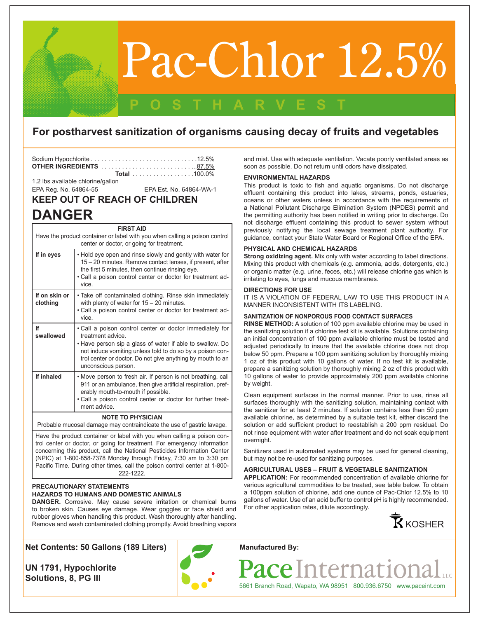# Pac-Chlor 12.5%

### **For postharvest sanitization of organisms causing decay of fruits and vegetables**

**POSTHARVEST**

| <b>Total</b> 100.0% |
|---------------------|

1.2 lbs available chlorine/gallon

EPA Reg. No. 64864-55 EPA Est. No. 64864-WA-1

## **KEEP OUT OF REACH OF CHILDREN**

# **DANGER**

| <b>FIRST AID</b><br>Have the product container or label with you when calling a poison control    |                                                                                                                                                                                                                                                                                              |  |
|---------------------------------------------------------------------------------------------------|----------------------------------------------------------------------------------------------------------------------------------------------------------------------------------------------------------------------------------------------------------------------------------------------|--|
| center or doctor, or going for treatment.                                                         |                                                                                                                                                                                                                                                                                              |  |
| If in eyes                                                                                        | . Hold eye open and rinse slowly and gently with water for<br>15 – 20 minutes. Remove contact lenses, if present, after<br>the first 5 minutes, then continue rinsing eye.<br>. Call a poison control center or doctor for treatment ad-<br>vice                                             |  |
| If on skin or<br>clothing                                                                         | • Take off contaminated clothing. Rinse skin immediately<br>with plenty of water for $15 - 20$ minutes.<br>. Call a poison control center or doctor for treatment ad-<br>vice.                                                                                                               |  |
| If<br>swallowed                                                                                   | • Call a poison control center or doctor immediately for<br>treatment advice.<br>. Have person sip a glass of water if able to swallow. Do<br>not induce vomiting unless told to do so by a poison con-<br>trol center or doctor. Do not give anything by mouth to an<br>unconscious person. |  |
| If inhaled                                                                                        | • Move person to fresh air. If person is not breathing, call<br>911 or an ambulance, then give artificial respiration, pref-<br>erably mouth-to-mouth if possible.<br>. Call a poison control center or doctor for further treat-<br>ment advice.                                            |  |
| <b>NOTE TO PHYSICIAN</b><br>Probable mucosal damage may contraindicate the use of gastric lavage. |                                                                                                                                                                                                                                                                                              |  |
|                                                                                                   |                                                                                                                                                                                                                                                                                              |  |

Have the product container or label with you when calling a poison control center or doctor, or going for treatment. For emergency information concerning this product, call the National Pesticides Information Center (NPIC) at 1-800-858-7378 Monday through Friday, 7:30 am to 3:30 pm Pacific Time. During other times, call the poison control center at 1-800- 222-1222.

#### **PRECAUTIONARY STATEMENTS HAZARDS TO HUMANS AND DOMESTIC ANIMALS**

**DANGER.** Corrosive. May cause severe irritation or chemical burns to broken skin. Causes eye damage. Wear goggles or face shield and rubber gloves when handling this product. Wash thoroughly after handling. Remove and wash contaminated clothing promptly. Avoid breathing vapors

and mist. Use with adequate ventilation. Vacate poorly ventilated areas as soon as possible. Do not return until odors have dissipated.

#### **ENVIRONMENTAL HAZARDS**

This product is toxic to fish and aquatic organisms. Do not discharge effluent containing this product into lakes, streams, ponds, estuaries, oceans or other waters unless in accordance with the requirements of a National Pollutant Discharge Elimination System (NPDES) permit and the permitting authority has been notified in writing prior to discharge. Do not discharge effluent containing this product to sewer system without previously notifying the local sewage treatment plant authority. For guidance, contact your State Water Board or Regional Office of the EPA.

#### **PHYSICAL AND CHEMICAL HAZARDS**

**Strong oxidizing agent.** Mix only with water according to label directions. Mixing this product with chemicals (e.g. ammonia, acids, detergents, etc.) or organic matter (e.g. urine, feces, etc.) will release chlorine gas which is irritating to eyes, lungs and mucous membranes.

#### **DIRECTIONS FOR USE**

IT IS A VIOLATION OF FEDERAL LAW TO USE THIS PRODUCT IN A MANNER INCONSISTENT WITH ITS LABELING.

#### **SANITIZATION OF NONPOROUS FOOD CONTACT SURFACES**

**RINSE METHOD:** A solution of 100 ppm available chlorine may be used in the sanitizing solution if a chlorine test kit is available. Solutions containing an initial concentration of 100 ppm available chlorine must be tested and adjusted periodically to insure that the available chlorine does not drop below 50 ppm. Prepare a 100 ppm sanitizing solution by thoroughly mixing 1 oz of this product with 10 gallons of water. If no test kit is available, prepare a sanitizing solution by thoroughly mixing 2 oz of this product with 10 gallons of water to provide approximately 200 ppm available chlorine by weight.

Clean equipment surfaces in the normal manner. Prior to use, rinse all surfaces thoroughly with the sanitizing solution, maintaining contact with the sanitizer for at least 2 minutes. If solution contains less than 50 ppm available chlorine, as determined by a suitable test kit, either discard the solution or add sufficient product to reestablish a 200 ppm residual. Do not rinse equipment with water after treatment and do not soak equipment overnight.

Sanitizers used in automated systems may be used for general cleaning, but may not be re-used for sanitizing purposes.

#### **AGRICULTURAL USES – FRUIT & VEGETABLE SANITIZATION**

**APPLICATION:** For recommended concentration of available chlorine for various agricultural commodities to be treated, see table below. To obtain a 100ppm solution of chlorine, add one ounce of Pac-Chlor 12.5% to 10 gallons of water. Use of an acid buffer to control pH is highly recommended. For other application rates, dilute accordingly.



**Net Contents: 50 Gallons (189 Liters)**

**UN 1791, Hypochlorite Solutions, 8, PG III**



**Manufactured By:**

ce Interna 5661 Branch Road, Wapato, WA 98951 800.936.6750 www.paceint.com